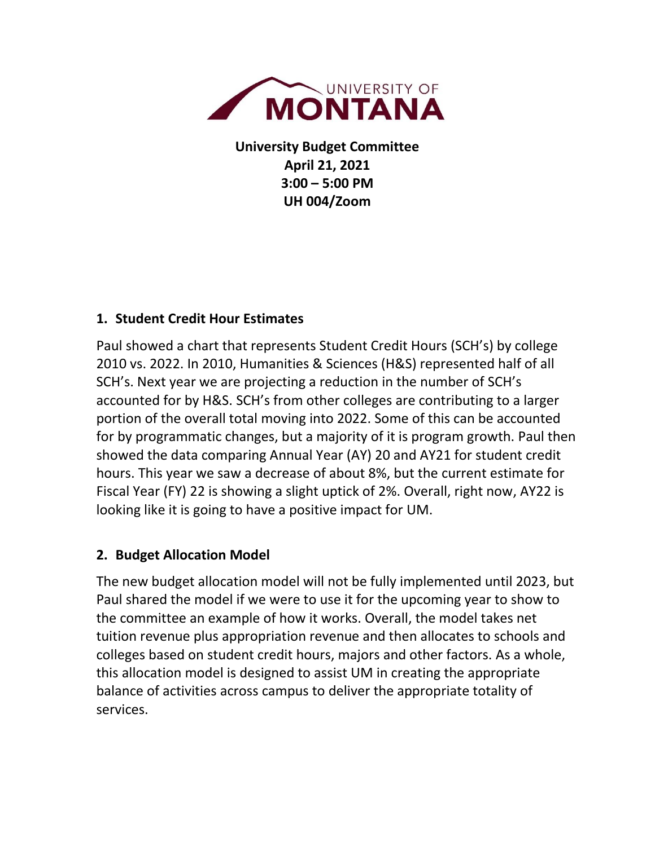

**University Budget Committee April 21, 2021 3:00 – 5:00 PM UH 004/Zoom**

## **1. Student Credit Hour Estimates**

Paul showed a chart that represents Student Credit Hours (SCH's) by college 2010 vs. 2022. In 2010, Humanities & Sciences (H&S) represented half of all SCH's. Next year we are projecting a reduction in the number of SCH's accounted for by H&S. SCH's from other colleges are contributing to a larger portion of the overall total moving into 2022. Some of this can be accounted for by programmatic changes, but a majority of it is program growth. Paul then showed the data comparing Annual Year (AY) 20 and AY21 for student credit hours. This year we saw a decrease of about 8%, but the current estimate for Fiscal Year (FY) 22 is showing a slight uptick of 2%. Overall, right now, AY22 is looking like it is going to have a positive impact for UM.

## **2. Budget Allocation Model**

The new budget allocation model will not be fully implemented until 2023, but Paul shared the model if we were to use it for the upcoming year to show to the committee an example of how it works. Overall, the model takes net tuition revenue plus appropriation revenue and then allocates to schools and colleges based on student credit hours, majors and other factors. As a whole, this allocation model is designed to assist UM in creating the appropriate balance of activities across campus to deliver the appropriate totality of services.